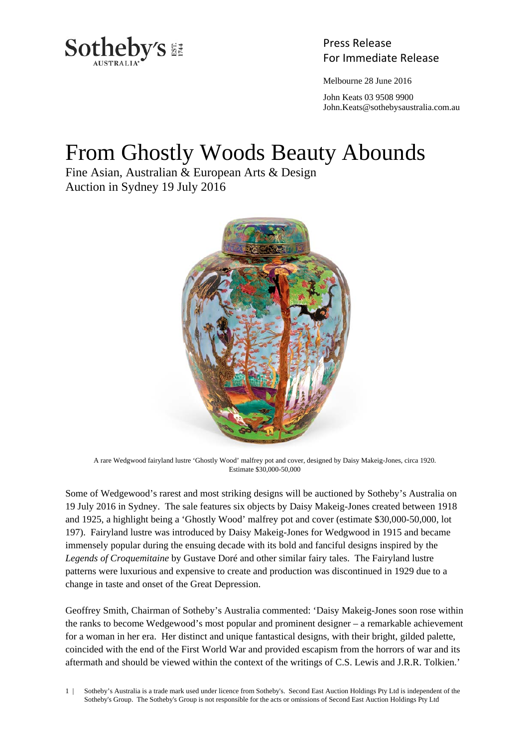

Press Release

Melbourne 28 June 2016

 John Keats 03 9508 9900 John.Keats@sothebysaustralia.com.au

## From Ghostly Woods Beauty Abounds

Fine Asian, Australian & European Arts & Design Auction in Sydney 19 July 2016



A rare Wedgwood fairyland lustre 'Ghostly Wood' malfrey pot and cover, designed by Daisy Makeig-Jones, circa 1920. Estimate \$30,000-50,000

Some of Wedgewood's rarest and most striking designs will be auctioned by Sotheby's Australia on 19 July 2016 in Sydney. The sale features six objects by Daisy Makeig-Jones created between 1918 and 1925, a highlight being a 'Ghostly Wood' malfrey pot and cover (estimate \$30,000-50,000, lot 197). Fairyland lustre was introduced by Daisy Makeig-Jones for Wedgwood in 1915 and became immensely popular during the ensuing decade with its bold and fanciful designs inspired by the *Legends of Croquemitaine* by Gustave Doré and other similar fairy tales. The Fairyland lustre patterns were luxurious and expensive to create and production was discontinued in 1929 due to a change in taste and onset of the Great Depression.

Geoffrey Smith, Chairman of Sotheby's Australia commented: 'Daisy Makeig-Jones soon rose within the ranks to become Wedgewood's most popular and prominent designer – a remarkable achievement for a woman in her era. Her distinct and unique fantastical designs, with their bright, gilded palette, coincided with the end of the First World War and provided escapism from the horrors of war and its aftermath and should be viewed within the context of the writings of C.S. Lewis and J.R.R. Tolkien.'

1 | Sotheby's Australia is a trade mark used under licence from Sotheby's. Second East Auction Holdings Pty Ltd is independent of the Sotheby's Group. The Sotheby's Group is not responsible for the acts or omissions of Second East Auction Holdings Pty Ltd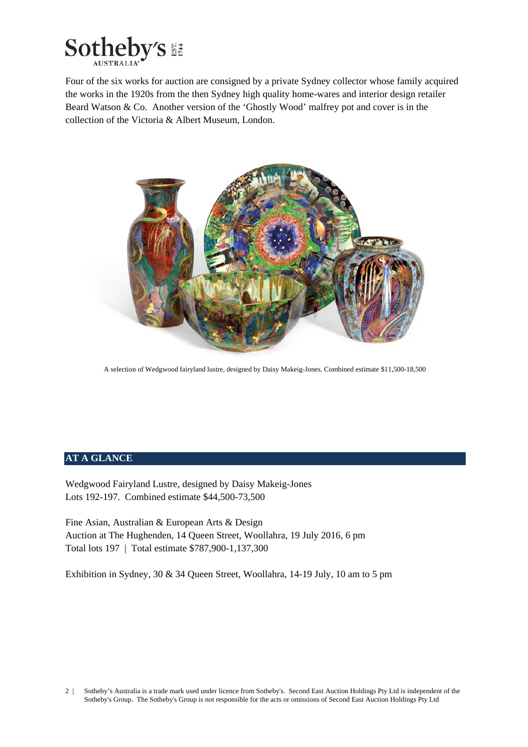

Four of the six works for auction are consigned by a private Sydney collector whose family acquired the works in the 1920s from the then Sydney high quality home-wares and interior design retailer Beard Watson & Co. Another version of the 'Ghostly Wood' malfrey pot and cover is in the collection of the Victoria & Albert Museum, London.



A selection of Wedgwood fairyland lustre, designed by Daisy Makeig-Jones. Combined estimate \$11,500-18,500

## **AT A GLANCE**

Wedgwood Fairyland Lustre, designed by Daisy Makeig-Jones Lots 192-197. Combined estimate \$44,500-73,500

Fine Asian, Australian & European Arts & Design Auction at The Hughenden, 14 Queen Street, Woollahra, 19 July 2016, 6 pm Total lots 197 | Total estimate \$787,900-1,137,300

Exhibition in Sydney, 30 & 34 Queen Street, Woollahra, 14-19 July, 10 am to 5 pm

2 | Sotheby's Australia is a trade mark used under licence from Sotheby's. Second East Auction Holdings Pty Ltd is independent of the Sotheby's Group. The Sotheby's Group is not responsible for the acts or omissions of Second East Auction Holdings Pty Ltd